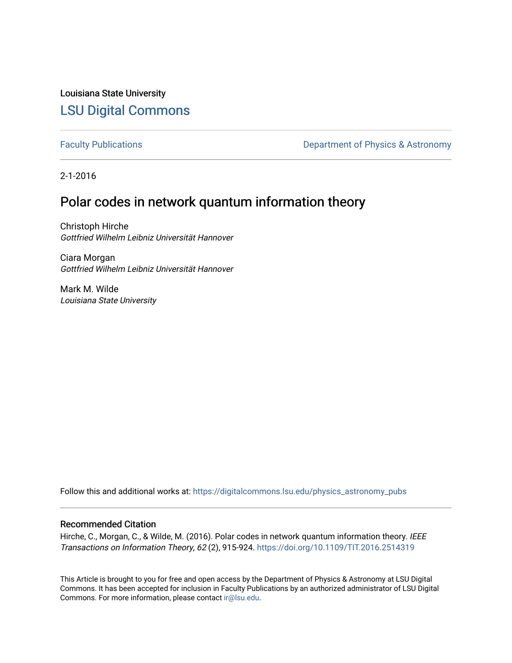Louisiana State University [LSU Digital Commons](https://digitalcommons.lsu.edu/)

[Faculty Publications](https://digitalcommons.lsu.edu/physics_astronomy_pubs) **Exercise 2 and Table 2 and Table 2 and Table 2 and Table 2 and Table 2 and Table 2 and Table 2 and Table 2 and Table 2 and Table 2 and Table 2 and Table 2 and Table 2 and Table 2 and Table 2 and Table** 

2-1-2016

# Polar codes in network quantum information theory

Christoph Hirche Gottfried Wilhelm Leibniz Universität Hannover

Ciara Morgan Gottfried Wilhelm Leibniz Universität Hannover

Mark M. Wilde Louisiana State University

Follow this and additional works at: [https://digitalcommons.lsu.edu/physics\\_astronomy\\_pubs](https://digitalcommons.lsu.edu/physics_astronomy_pubs?utm_source=digitalcommons.lsu.edu%2Fphysics_astronomy_pubs%2F5677&utm_medium=PDF&utm_campaign=PDFCoverPages) 

## Recommended Citation

Hirche, C., Morgan, C., & Wilde, M. (2016). Polar codes in network quantum information theory. IEEE Transactions on Information Theory, 62 (2), 915-924. <https://doi.org/10.1109/TIT.2016.2514319>

This Article is brought to you for free and open access by the Department of Physics & Astronomy at LSU Digital Commons. It has been accepted for inclusion in Faculty Publications by an authorized administrator of LSU Digital Commons. For more information, please contact [ir@lsu.edu](mailto:ir@lsu.edu).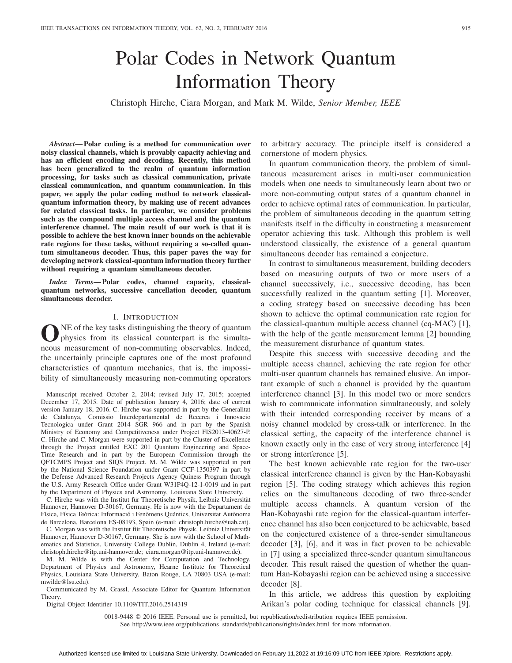# Polar Codes in Network Quantum Information Theory

Christoph Hirche, Ciara Morgan, and Mark M. Wilde, *Senior Member, IEEE*

*Abstract***— Polar coding is a method for communication over noisy classical channels, which is provably capacity achieving and has an efficient encoding and decoding. Recently, this method has been generalized to the realm of quantum information processing, for tasks such as classical communication, private classical communication, and quantum communication. In this paper, we apply the polar coding method to network classicalquantum information theory, by making use of recent advances for related classical tasks. In particular, we consider problems such as the compound multiple access channel and the quantum interference channel. The main result of our work is that it is possible to achieve the best known inner bounds on the achievable rate regions for these tasks, without requiring a so-called quantum simultaneous decoder. Thus, this paper paves the way for developing network classical-quantum information theory further without requiring a quantum simultaneous decoder.**

*Index Terms***— Polar codes, channel capacity, classicalquantum networks, successive cancellation decoder, quantum simultaneous decoder.**

#### I. INTRODUCTION

**O**NE of the key tasks distinguishing the theory of quantum<br>physics from its classical counterpart is the simultaneous measurement of non-commuting observables. Indeed, the uncertainly principle captures one of the most profound characteristics of quantum mechanics, that is, the impossibility of simultaneously measuring non-commuting operators

Manuscript received October 2, 2014; revised July 17, 2015; accepted December 17, 2015. Date of publication January 4, 2016; date of current version January 18, 2016. C. Hirche was supported in part by the Generalitat de Catalunya, Comissio Interdepartamental de Recerca i Innovacio Tecnologica under Grant 2014 SGR 966 and in part by the Spanish Ministry of Economy and Competitiveness under Project FIS2013-40627-P. C. Hirche and C. Morgan were supported in part by the Cluster of Excellence through the Project entitled EXC 201 Quantum Engineering and Space-Time Research and in part by the European Commission through the QFTCMPS Project and SIQS Project. M. M. Wilde was supported in part by the National Science Foundation under Grant CCF-1350397 in part by the Defense Advanced Research Projects Agency Quiness Program through the U.S. Army Research Office under Grant W31P4Q-12-1-0019 and in part by the Department of Physics and Astronomy, Louisiana State University.

C. Hirche was with the Institut für Theoretische Physik, Leibniz Universität Hannover, Hannover D-30167, Germany. He is now with the Departament de Física, Física Teòrica: Informació i Fenòmens Quántics, Universitat Autònoma de Barcelona, Barcelona ES-08193, Spain (e-mail: christoph.hirche@uab.cat).

C. Morgan was with the Institut für Theoretische Physik, Leibniz Universität Hannover, Hannover D-30167, Germany. She is now with the School of Mathematics and Statistics, University College Dublin, Dublin 4, Ireland (e-mail: christoph.hirche@itp.uni-hannover.de; ciara.morgan@itp.uni-hannover.de).

M. M. Wilde is with the Center for Computation and Technology, Department of Physics and Astronomy, Hearne Institute for Theoretical Physics, Louisiana State University, Baton Rouge, LA 70803 USA (e-mail: mwilde@lsu.edu).

Communicated by M. Grassl, Associate Editor for Quantum Information Theory.

Digital Object Identifier 10.1109/TIT.2016.2514319

to arbitrary accuracy. The principle itself is considered a cornerstone of modern physics.

In quantum communication theory, the problem of simultaneous measurement arises in multi-user communication models when one needs to simultaneously learn about two or more non-commuting output states of a quantum channel in order to achieve optimal rates of communication. In particular, the problem of simultaneous decoding in the quantum setting manifests itself in the difficulty in constructing a measurement operator achieving this task. Although this problem is well understood classically, the existence of a general quantum simultaneous decoder has remained a conjecture.

In contrast to simultaneous measurement, building decoders based on measuring outputs of two or more users of a channel successively, i.e., successive decoding, has been successfully realized in the quantum setting [1]. Moreover, a coding strategy based on successive decoding has been shown to achieve the optimal communication rate region for the classical-quantum multiple access channel (cq-MAC) [1], with the help of the gentle measurement lemma [2] bounding the measurement disturbance of quantum states.

Despite this success with successive decoding and the multiple access channel, achieving the rate region for other multi-user quantum channels has remained elusive. An important example of such a channel is provided by the quantum interference channel [3]. In this model two or more senders wish to communicate information simultaneously, and solely with their intended corresponding receiver by means of a noisy channel modeled by cross-talk or interference. In the classical setting, the capacity of the interference channel is known exactly only in the case of very strong interference [4] or strong interference [5].

The best known achievable rate region for the two-user classical interference channel is given by the Han-Kobayashi region [5]. The coding strategy which achieves this region relies on the simultaneous decoding of two three-sender multiple access channels. A quantum version of the Han-Kobayashi rate region for the classical-quantum interference channel has also been conjectured to be achievable, based on the conjectured existence of a three-sender simultaneous decoder [3], [6], and it was in fact proven to be achievable in [7] using a specialized three-sender quantum simultaneous decoder. This result raised the question of whether the quantum Han-Kobayashi region can be achieved using a successive decoder [8].

In this article, we address this question by exploiting Arikan's polar coding technique for classical channels [9].

0018-9448 © 2016 IEEE. Personal use is permitted, but republication/redistribution requires IEEE permission. See http://www.ieee.org/publications\_standards/publications/rights/index.html for more information.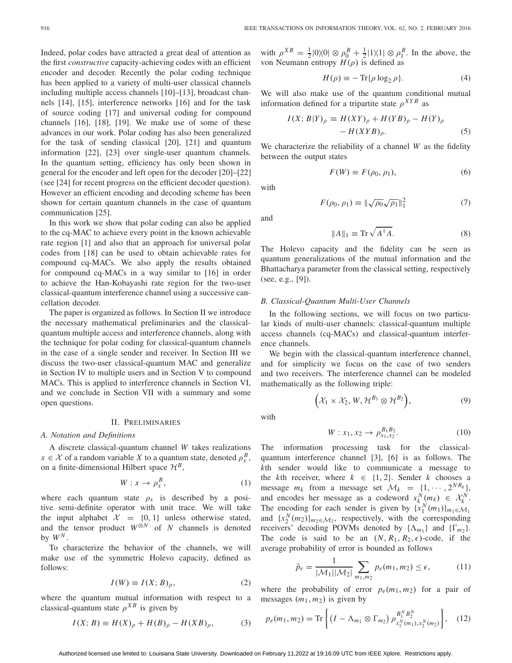Indeed, polar codes have attracted a great deal of attention as the first *constructive* capacity-achieving codes with an efficient encoder and decoder. Recently the polar coding technique has been applied to a variety of multi-user classical channels including multiple access channels [10]–[13], broadcast channels [14], [15], interference networks [16] and for the task of source coding [17] and universal coding for compound channels [16], [18], [19]. We make use of some of these advances in our work. Polar coding has also been generalized for the task of sending classical [20], [21] and quantum information [22], [23] over single-user quantum channels. In the quantum setting, efficiency has only been shown in general for the encoder and left open for the decoder [20]–[22] (see [24] for recent progress on the efficient decoder question). However an efficient encoding and decoding scheme has been shown for certain quantum channels in the case of quantum communication [25].

In this work we show that polar coding can also be applied to the cq-MAC to achieve every point in the known achievable rate region [1] and also that an approach for universal polar codes from [18] can be used to obtain achievable rates for compound cq-MACs. We also apply the results obtained for compound cq-MACs in a way similar to [16] in order to achieve the Han-Kobayashi rate region for the two-user classical-quantum interference channel using a successive cancellation decoder.

The paper is organized as follows. In Section II we introduce the necessary mathematical preliminaries and the classicalquantum multiple access and interference channels, along with the technique for polar coding for classical-quantum channels in the case of a single sender and receiver. In Section III we discuss the two-user classical-quantum MAC and generalize in Section IV to multiple users and in Section V to compound MACs. This is applied to interference channels in Section VI, and we conclude in Section VII with a summary and some open questions.

#### II. PRELIMINARIES

#### *A. Notation and Definitions*

A discrete classical-quantum channel *W* takes realizations  $x \in \mathcal{X}$  of a random variable *X* to a quantum state, denoted  $\rho_x^B$ , on a finite-dimensional Hilbert space  $\mathcal{H}^B$ ,

$$
W: x \to \rho_x^B,\tag{1}
$$

where each quantum state  $\rho_x$  is described by a positive semi-definite operator with unit trace. We will take the input alphabet  $\mathcal{X} = \{0, 1\}$  unless otherwise stated, and the tensor product  $W^{\otimes N}$  of *N* channels is denoted by  $W^N$ .

To characterize the behavior of the channels, we will make use of the symmetric Holevo capacity, defined as follows:

$$
I(W) \equiv I(X; B)_{\rho},\tag{2}
$$

where the quantum mutual information with respect to a classical-quantum state  $\rho^{XB}$  is given by

$$
I(X; B) \equiv H(X)_{\rho} + H(B)_{\rho} - H(XB)_{\rho}, \tag{3}
$$

with  $\rho^{XB} = \frac{1}{2} |0\rangle\langle 0| \otimes \rho_0^B + \frac{1}{2} |1\rangle\langle 1| \otimes \rho_1^B$ . In the above, the von Neumann entropy  $H(\rho)$  is defined as

$$
H(\rho) \equiv -\operatorname{Tr}\{\rho \log_2 \rho\}.
$$
 (4)

We will also make use of the quantum conditional mutual information defined for a tripartite state  $\rho^{XYB}$  as

$$
I(X; B|Y)_{\rho} \equiv H(XY)_{\rho} + H(YB)_{\rho} - H(Y)_{\rho}
$$

$$
- H(XYB)_{\rho}.
$$
 (5)

We characterize the reliability of a channel *W* as the fidelity between the output states

$$
F(W) \equiv F(\rho_0, \rho_1), \tag{6}
$$

with

$$
F(\rho_0, \rho_1) \equiv \|\sqrt{\rho_0} \sqrt{\rho_1}\|_1^2
$$
 (7)

and

$$
||A||_1 \equiv \text{Tr}\sqrt{A^{\dagger}A}.
$$
 (8)

The Holevo capacity and the fidelity can be seen as quantum generalizations of the mutual information and the Bhattacharya parameter from the classical setting, respectively (see, e.g., [9]).

#### *B. Classical-Quantum Multi-User Channels*

In the following sections, we will focus on two particular kinds of multi-user channels: classical-quantum multiple access channels (cq-MACs) and classical-quantum interference channels.

We begin with the classical-quantum interference channel, and for simplicity we focus on the case of two senders and two receivers. The interference channel can be modeled mathematically as the following triple:

 $(\mathcal{X}_1 \times \mathcal{X}_2, W, \mathcal{H}^{B_1} \otimes \mathcal{H}^{B_2})$ 

with

$$
W: x_1, x_2 \to \rho_{x_1, x_2}^{B_1 B_2}.
$$
 (10)

 $(9)$ 

The information processing task for the classicalquantum interference channel [3], [6] is as follows. The *k*th sender would like to communicate a message to the *k*th receiver, where  $k \in \{1, 2\}$ . Sender *k* chooses a message  $m_k$  from a message set  $\mathcal{M}_k = \{1, \cdots, 2^{NR_k}\}\$ and encodes her message as a codeword  $x_k^N(m_k) \in \mathcal{X}_k^N$ . The encoding for each sender is given by  $\{x_1^N(m_1)\}_{m_1 \in \mathcal{M}_1}$ and  ${x_2^N(m_2)}_{m_2 \in \mathcal{M}_2}$ , respectively, with the corresponding receivers' decoding POVMs denoted by  $\{\Lambda_{m_1}\}\$  and  $\{\Gamma_{m_2}\}\$ . The code is said to be an  $(N, R_1, R_2, \epsilon)$ -code, if the average probability of error is bounded as follows

$$
\bar{p}_e = \frac{1}{|\mathcal{M}_1||\mathcal{M}_2|} \sum_{m_1, m_2} p_e(m_1, m_2) \le \epsilon,
$$
 (11)

where the probability of error  $p_e(m_1, m_2)$  for a pair of messages  $(m_1, m_2)$  is given by

$$
p_e(m_1, m_2) = \text{Tr}\left\{ \left( I - \Lambda_{m_1} \otimes \Gamma_{m_2} \right) \rho_{x_1^N(m_1), x_2^N(m_2)}^{B_1^N B_2^N} \right\}, \quad (12)
$$

Authorized licensed use limited to: Louisiana State University. Downloaded on February 11,2022 at 19:16:09 UTC from IEEE Xplore. Restrictions apply.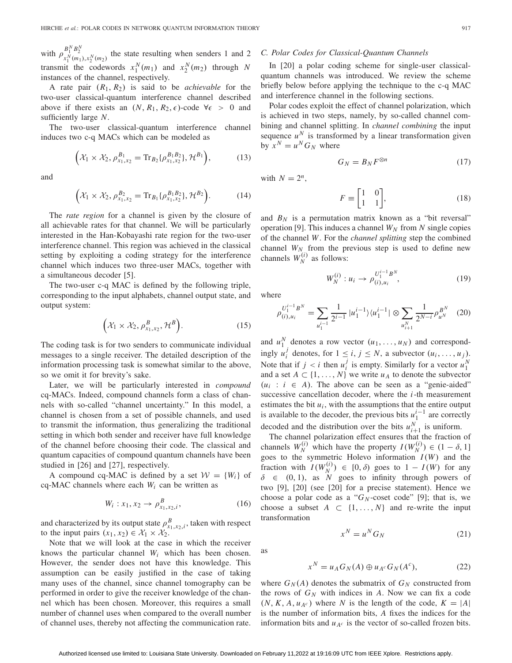with  $\rho_{x_1^N(m_1),x_2^N(m_2)}^{B_1^N B_2^N}$  the state resulting when senders 1 and 2 transmit the codewords  $x_1^N(m_1)$  and  $x_2^N(m_2)$  through *N* instances of the channel, respectively.

A rate pair  $(R_1, R_2)$  is said to be *achievable* for the two-user classical-quantum interference channel described above if there exists an  $(N, R_1, R_2, \epsilon)$ -code  $\forall \epsilon > 0$  and sufficiently large *N*.

The two-user classical-quantum interference channel induces two c-q MACs which can be modeled as

$$
\left(\mathcal{X}_1 \times \mathcal{X}_2, \rho_{x_1, x_2}^{B_1} = \text{Tr}_{B_2}\{\rho_{x_1, x_2}^{B_1 B_2}\}, \mathcal{H}^{B_1}\right),\tag{13}
$$

and

$$
\left(\mathcal{X}_1 \times \mathcal{X}_2, \rho_{x_1, x_2}^{B_2} = \text{Tr}_{B_1} \{\rho_{x_1, x_2}^{B_1 B_2}\}, \mathcal{H}^{B_2}\right). \tag{14}
$$

The *rate region* for a channel is given by the closure of all achievable rates for that channel. We will be particularly interested in the Han-Kobayashi rate region for the two-user interference channel. This region was achieved in the classical setting by exploiting a coding strategy for the interference channel which induces two three-user MACs, together with a simultaneous decoder [5].

The two-user c-q MAC is defined by the following triple, corresponding to the input alphabets, channel output state, and output system:

$$
\left(\mathcal{X}_1 \times \mathcal{X}_2, \rho^B_{x_1, x_2}, \mathcal{H}^B\right). \tag{15}
$$

The coding task is for two senders to communicate individual messages to a single receiver. The detailed description of the information processing task is somewhat similar to the above, so we omit it for brevity's sake.

Later, we will be particularly interested in *compound* cq-MACs. Indeed, compound channels form a class of channels with so-called "channel uncertainty." In this model, a channel is chosen from a set of possible channels, and used to transmit the information, thus generalizing the traditional setting in which both sender and receiver have full knowledge of the channel before choosing their code. The classical and quantum capacities of compound quantum channels have been studied in [26] and [27], respectively.

A compound cq-MAC is defined by a set  $W = \{W_i\}$  of cq-MAC channels where each  $W_i$  can be written as

$$
W_i: x_1, x_2 \to \rho_{x_1, x_2, i}^B,\tag{16}
$$

and characterized by its output state  $\rho_{x_1, x_2, i}^B$ , taken with respect to the input pairs  $(x_1, x_2) \in \mathcal{X}_1 \times \mathcal{X}_2$ .

Note that we will look at the case in which the receiver knows the particular channel  $W_i$  which has been chosen. However, the sender does not have this knowledge. This assumption can be easily justified in the case of taking many uses of the channel, since channel tomography can be performed in order to give the receiver knowledge of the channel which has been chosen. Moreover, this requires a small number of channel uses when compared to the overall number of channel uses, thereby not affecting the communication rate.

#### *C. Polar Codes for Classical-Quantum Channels*

In [20] a polar coding scheme for single-user classicalquantum channels was introduced. We review the scheme briefly below before applying the technique to the c-q MAC and interference channel in the following sections.

Polar codes exploit the effect of channel polarization, which is achieved in two steps, namely, by so-called channel combining and channel splitting. In *channel combining* the input sequence  $u^N$  is transformed by a linear transformation given by  $x^N = u^N G_N$  where

$$
G_N = B_N F^{\otimes n} \tag{17}
$$

with  $N = 2^n$ ,

$$
F \equiv \begin{bmatrix} 1 & 0 \\ 1 & 1 \end{bmatrix},\tag{18}
$$

and  $B_N$  is a permutation matrix known as a "bit reversal" operation [9]. This induces a channel  $W_N$  from  $N$  single copies of the channel *W*. For the *channel splitting* step the combined channel  $W_N$  from the previous step is used to define new channels  $W_N^{(i)}$  as follows:

$$
W_N^{(i)}: u_i \to \rho_{(i), u_i}^{U_1^{i-1} B^N}, \tag{19}
$$

where

$$
\rho_{(i),u_i}^{U_1^{i-1}B^N} = \sum_{u_1^{i-1}} \frac{1}{2^{i-1}} |u_1^{i-1}\rangle \langle u_1^{i-1}| \otimes \sum_{u_{i+1}^N} \frac{1}{2^{N-i}} \rho_{u^N}^{B^N} \quad (20)
$$

and  $u_1^N$  denotes a row vector  $(u_1, \ldots, u_N)$  and correspondingly  $u_i^j$  denotes, for  $1 \le i, j \le N$ , a subvector  $(u_i, \ldots, u_j)$ . Note that if  $j < i$  then  $u_i^j$  is empty. Similarly for a vector  $u_1^N$ and a set  $A \subset \{1, \ldots, N\}$  we write  $u_A$  to denote the subvector  $(u_i : i \in A)$ . The above can be seen as a "genie-aided" successive cancellation decoder, where the *i*-th measurement estimates the bit  $u_i$ , with the assumptions that the entire output is available to the decoder, the previous bits  $u_1^{i-1}$  are correctly decoded and the distribution over the bits  $u_{i+1}^N$  is uniform.

The channel polarization effect ensures that the fraction of channels  $W_N^{(i)}$  which have the property  $I(W_N^{(i)}) \in (1 - \delta, 1]$ goes to the symmetric Holevo information *I*(*W*) and the fraction with  $I(W_N^{(i)}) \in [0, \delta)$  goes to  $1 - I(W)$  for any  $\delta \in (0, 1)$ , as *N* goes to infinity through powers of two [9], [20] (see [20] for a precise statement). Hence we choose a polar code as a " $G_N$ -coset code" [9]; that is, we choose a subset  $A \subset \{1, ..., N\}$  and re-write the input transformation

$$
x^N = u^N G_N \tag{21}
$$

as

$$
x^N = u_A G_N(A) \oplus u_{A^c} G_N(A^c), \qquad (22)
$$

where  $G_N(A)$  denotes the submatrix of  $G_N$  constructed from the rows of  $G_N$  with indices in A. Now we can fix a code  $(N, K, A, u_{A^c})$  where *N* is the length of the code,  $K = |A|$ is the number of information bits, *A* fixes the indices for the information bits and  $u_{A^c}$  is the vector of so-called frozen bits.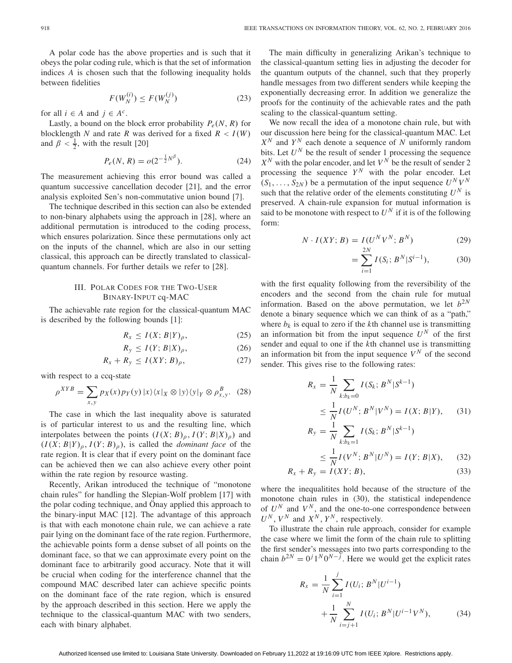A polar code has the above properties and is such that it obeys the polar coding rule, which is that the set of information indices *A* is chosen such that the following inequality holds between fidelities

$$
F(W_N^{(i)}) \le F(W_N^{(j)})\tag{23}
$$

for all  $i \in A$  and  $j \in A^c$ .

Lastly, a bound on the block error probability  $P_e(N, R)$  for blocklength *N* and rate *R* was derived for a fixed  $R < I(W)$ and  $\beta < \frac{1}{2}$ , with the result [20]

$$
P_e(N, R) = o(2^{-\frac{1}{2}N^{\beta}}).
$$
 (24)

The measurement achieving this error bound was called a quantum successive cancellation decoder [21], and the error analysis exploited Sen's non-commutative union bound [7].

The technique described in this section can also be extended to non-binary alphabets using the approach in [28], where an additional permutation is introduced to the coding process, which ensures polarization. Since these permutations only act on the inputs of the channel, which are also in our setting classical, this approach can be directly translated to classicalquantum channels. For further details we refer to [28].

### III. POLAR CODES FOR THE TWO-USER BINARY-INPUT cq-MAC

The achievable rate region for the classical-quantum MAC is described by the following bounds [1]:

$$
R_x \le I(X; B|Y)_{\rho}, \tag{25}
$$

$$
R_{y} \le I(Y; B|X)_{\rho}, \tag{26}
$$

$$
R_x + R_y \le I(XY; B)_{\rho}, \qquad (27)
$$

with respect to a ccq-state

$$
\rho^{XYB} = \sum_{x,y} p_X(x) p_Y(y) |x\rangle\langle x|_X \otimes |y\rangle\langle y|_Y \otimes \rho_{x,y}^B. \tag{28}
$$

The case in which the last inequality above is saturated is of particular interest to us and the resulting line, which interpolates between the points  $(I(X; B)_{\rho}, I(Y; B|X)_{\rho})$  and  $(I(X; B|Y)_{\rho}, I(Y; B)_{\rho})$ , is called the *dominant face* of the rate region. It is clear that if every point on the dominant face can be achieved then we can also achieve every other point within the rate region by resource wasting.

Recently, Arikan introduced the technique of "monotone chain rules" for handling the Slepian-Wolf problem [17] with the polar coding technique, and Önay applied this approach to the binary-input MAC [12]. The advantage of this approach is that with each monotone chain rule, we can achieve a rate pair lying on the dominant face of the rate region. Furthermore, the achievable points form a dense subset of all points on the dominant face, so that we can approximate every point on the dominant face to arbitrarily good accuracy. Note that it will be crucial when coding for the interference channel that the compound MAC described later can achieve specific points on the dominant face of the rate region, which is ensured by the approach described in this section. Here we apply the technique to the classical-quantum MAC with two senders, each with binary alphabet.

The main difficulty in generalizing Arikan's technique to the classical-quantum setting lies in adjusting the decoder for the quantum outputs of the channel, such that they properly handle messages from two different senders while keeping the exponentially decreasing error. In addition we generalize the proofs for the continuity of the achievable rates and the path scaling to the classical-quantum setting.

We now recall the idea of a monotone chain rule, but with our discussion here being for the classical-quantum MAC. Let  $X^N$  and  $Y^N$  each denote a sequence of *N* uniformly random bits. Let  $U^N$  be the result of sender 1 processing the sequence  $X^N$  with the polar encoder, and let  $V^N$  be the result of sender 2 processing the sequence  $Y^N$  with the polar encoder. Let  $(S_1, \ldots, S_{2N})$  be a permutation of the input sequence  $U^N V^N$ such that the relative order of the elements constituting  $U^N$  is preserved. A chain-rule expansion for mutual information is said to be monotone with respect to  $U^N$  if it is of the following form:

$$
N \cdot I(XY; B) = I(U^N V^N; B^N)
$$
\n(29)

$$
= \sum_{i=1}^{2N} I(S_i; B^N | S^{i-1}), \tag{30}
$$

with the first equality following from the reversibility of the encoders and the second from the chain rule for mutual information. Based on the above permutation, we let  $b^{2N}$ denote a binary sequence which we can think of as a "path," where  $b_k$  is equal to zero if the *k*th channel use is transmitting an information bit from the input sequence  $U^N$  of the first sender and equal to one if the *k*th channel use is transmitting an information bit from the input sequence  $V^N$  of the second sender. This gives rise to the following rates:

$$
R_{x} = \frac{1}{N} \sum_{k:b_k=0} I(S_k; B^{N} | S^{k-1})
$$
  
\n
$$
\leq \frac{1}{N} I(U^{N}; B^{N} | V^{N}) = I(X; B | Y), \quad (31)
$$
  
\n
$$
R_{y} = \frac{1}{N} \sum_{k:b_k=1} I(S_k; B^{N} | S^{k-1})
$$
  
\n
$$
\leq \frac{1}{N} I(V^{N}; B^{N} | U^{N}) = I(Y; B | X), \quad (32)
$$

$$
R_x + R_y = I(XY; B), \tag{33}
$$

where the inequalitites hold because of the structure of the monotone chain rules in (30), the statistical independence of  $U^N$  and  $V^N$ , and the one-to-one correspondence between  $U^N$ ,  $V^N$  and  $X^N$ ,  $Y^N$ , respectively.

To illustrate the chain rule approach, consider for example the case where we limit the form of the chain rule to splitting the first sender's messages into two parts corresponding to the chain  $b^{2N} = 0^{j} 1^{N} 0^{N-j}$ . Here we would get the explicit rates

$$
R_{x} = \frac{1}{N} \sum_{i=1}^{j} I(U_{i}; B^{N} | U^{i-1}) + \frac{1}{N} \sum_{i=j+1}^{N} I(U_{i}; B^{N} | U^{i-1} V^{N}), \qquad (34)
$$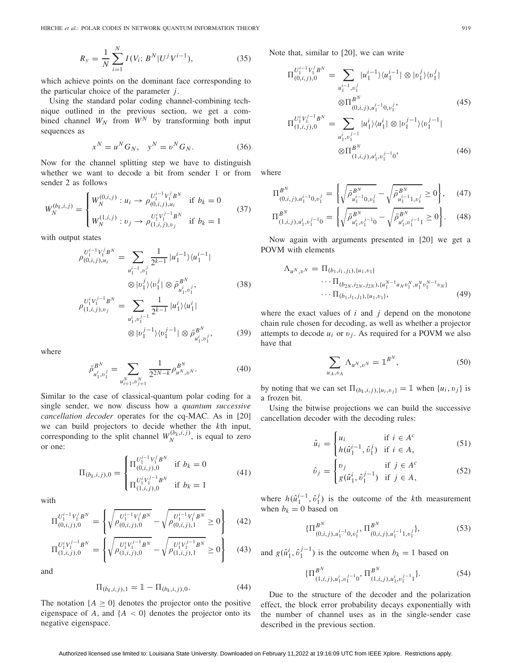$$
R_{y} = \frac{1}{N} \sum_{i=1}^{N} I(V_{i}; B^{N} | U^{j} V^{i-1}),
$$
\n(35)

which achieve points on the dominant face corresponding to the particular choice of the parameter *j*.

Using the standard polar coding channel-combining technique outlined in the previous section, we get a combined channel  $W_N$  from  $W^N$  by transforming both input sequences as

$$
x^N = u^N G_N, \quad y^N = v^N G_N. \tag{36}
$$

Now for the channel splitting step we have to distinguish whether we want to decode a bit from sender 1 or from sender 2 as follows

$$
W_N^{(b_k,i,j)} = \begin{cases} W_N^{(0,i,j)} : u_i \to \rho_{(0,i,j),u_i}^{U_1^{i-1}V_1^{j}B^N} & \text{if } b_k = 0\\ W_N^{(1,i,j)} : v_j \to \rho_{(1,i,j),v_j}^{U_1^{i}V_1^{j-1}B^N} & \text{if } b_k = 1 \end{cases}
$$
(37)

with output states

$$
\rho_{(0,i,j),u_i}^{U_1^{i-1}V_1^{j}B^N} = \sum_{u_1^{i-1},v_1^{j}} \frac{1}{2^{k-1}} |u_1^{i-1}\rangle \langle u_1^{i-1}|
$$
  

$$
\otimes |v_1^{j}\rangle \langle v_1^{j}| \otimes \bar{\rho}_{u_1^{i},v_1^{j}}^{B^N},
$$
 (38)  

$$
\rho_{(1,i,j),v_i}^{U_1^{i}V_1^{j-1}B^N} = \sum_{u_1^{i-1}} \frac{1}{2^{k-1}} |u_1^{i}\rangle \langle u_1^{i}|
$$

$$
\mathcal{V}_{(1,i,j),v_j}^{U_1^{\vee}V_1^{\vee}} = \sum_{u_1^i, v_1^{j-1}} \frac{1}{2^{k-1}} |u_1^i\rangle\langle u_1^i|
$$
  

$$
\otimes |v_1^{j-1}\rangle\langle v_1^{j-1}| \otimes \bar{\rho}_{u_1^i, v_1^j}^{B^N}, \tag{39}
$$

where

$$
\bar{\rho}_{u_1^i, v_1^j}^{B^N} = \sum_{u_{i+1}^N, v_{j+1}^N} \frac{1}{2^{2N-k}} \rho_{u^N, v^N}^{B^N}.
$$
\n(40)

Similar to the case of classical-quantum polar coding for a single sender, we now discuss how a *quantum successive cancellation decoder* operates for the cq-MAC. As in [20] we can build projectors to decide whether the *k*th input, corresponding to the split channel  $W_N^{(b_k, i, j)}$ , is equal to zero or one:

$$
\Pi_{(b_k,i,j),0} = \begin{cases}\n\Pi_{(0,i,j),0}^{U_1^{i-1}V_1^jB^N} & \text{if } b_k = 0 \\
\Pi_{(1,i,j),0}^{U_1^iV_1^{i-1}B^N} & \text{if } b_k = 1\n\end{cases}
$$
\n(41)

with

$$
\Pi_{(0,i,j),0}^{U_1^{i-1}V_1^jB^N} = \left\{ \sqrt{\rho_{(0,i,j),0}^{U_1^{i-1}V_1^jB^N}} - \sqrt{\rho_{(0,i,j),1}^{U_1^{i-1}V_1^jB^N}} \ge 0 \right\}
$$
(42)

$$
\Pi_{(1,i,j),0}^{U_1^i V_1^{j-1} B^N} = \left\{ \sqrt{\rho_{(1,i,j),0}^{U_1^i V_1^{j-1} B^N}} - \sqrt{\rho_{(1,i,j),1}^{U_1^i V_1^{j-1} B^N}} \ge 0 \right\}
$$
(43)

and

$$
\Pi_{(b_k,i,j),1} = \mathbb{1} - \Pi_{(b_k,i,j),0}.\tag{44}
$$

The notation  ${A \geq 0}$  denotes the projector onto the positive eigenspace of *A*, and  $\{A < 0\}$  denotes the projector onto its negative eigenspace.

Note that, similar to [20], we can write

$$
\Pi_{(0,i,j),0}^{U_1^{i-1}V_1^{j}B^{N}} = \sum_{u_1^{i-1},v_1^{j}} |u_1^{i-1}\rangle\langle u_1^{i-1}| \otimes |v_1^{j}\rangle\langle v_1^{j}|
$$
  

$$
\otimes \Pi_{(0,i,j),u_1^{i-1}0,v_1^{j}}^{B^{N}}, \qquad (45)
$$
  

$$
\Pi_{(1,i,j),0}^{U_1^{i}V_1^{j-1}B^{N}} = \sum |u_1^{i}\rangle\langle u_1^{i}| \otimes |v_1^{j-1}\rangle\langle v_1^{j-1}|
$$

$$
U_1^l V_1^{j-1} B^N = \sum_{u_1^i, v_1^{j-1}} |u_1^i\rangle\langle u_1^i| \otimes |v_1^{j-1}\rangle\langle v_1^{j-1}|
$$
  

$$
\otimes \Pi_{(1,i,j), u_1^i, v_1^{j-1}0}^{B^N},
$$
 (46)

where

$$
\Pi_{(0,i,j),u_1^{i-1}0,v_1^j}^{B^N} = \left\{ \sqrt{\bar{\rho}_{u_1^{i-1}0,v_1^j}^{B^N}} - \sqrt{\bar{\rho}_{u_1^{i-1}1,v_1^j}^{B^N}} \ge 0 \right\},\tag{47}
$$

$$
\Pi_{(1,i,j),u_1^i,v_1^{j-1}0}^{B^N} = \left\{ \sqrt{\bar{\rho}_{u_1^i,v_1^{j-1}0}^{B^N}} - \sqrt{\bar{\rho}_{u_1^i,v_1^{j-1}1}^{B^N}} \ge 0 \right\}.
$$
 (48)

Now again with arguments presented in [20] we get a POVM with elements

$$
\Lambda_{u^N, v^N} = \Pi_{(b_1, i_1, j_1), \{u_1, v_1\}} \cdots \Pi_{(b_{2N}, i_{2N}, j_{2N}), \{u_1^{N-1}u_Nv_1^N, u_1^{N}v_1^{N-1}v_N\}} \cdots \Pi_{(b_1, i_1, j_1), \{u_1, v_1\}},
$$
\n(49)

where the exact values of *i* and *j* depend on the monotone chain rule chosen for decoding, as well as whether a projector attempts to decode  $u_i$  or  $v_j$ . As required for a POVM we also have that

$$
\sum_{u_A, v_A} \Lambda_{u^N, v^N} = \mathbb{1}^{B^N},\tag{50}
$$

by noting that we can set  $\Pi_{(b_k, i, j), \{u_i, v_j\}} = \mathbb{I}$  when  $\{u_i, v_j\}$  is a frozen bit.

Using the bitwise projections we can build the successive cancellation decoder with the decoding rules:

$$
\hat{u}_i = \begin{cases} u_i & \text{if } i \in A^c \\ h(\hat{u}_1^{i-1}, \hat{v}_1^j) & \text{if } i \in A, \end{cases}
$$
\n(51)

$$
\hat{v}_j = \begin{cases} v_j & \text{if } j \in A^c \\ g(\hat{u}_1^i, \hat{v}_1^{j-1}) & \text{if } j \in A, \end{cases}
$$
\n(52)

where  $h(\hat{u}_1^{i-1}, \hat{v}_1^j)$  is the outcome of the *k*th measurement when  $b_k = 0$  based on

$$
\{\Pi_{(0,i,j),u_1^{i-1}0,v_1^j}^{B^N},\Pi_{(0,i,j),u_1^{i-1}1,v_1^j}^{B^N}\},\tag{53}
$$

and  $g(\hat{u}_1^i, \hat{v}_1^{j-1})$  is the outcome when  $b_k = 1$  based on

$$
\{\Pi_{(1,i,j),u_1^i,v_1^{j-1}0}^{B^N}, \Pi_{(1,i,j),u_1^i,v_1^{j-1}1}^{B^N}\}.
$$
\n(54)

Due to the structure of the decoder and the polarization effect, the block error probability decays exponentially with the number of channel uses as in the single-sender case described in the previous section.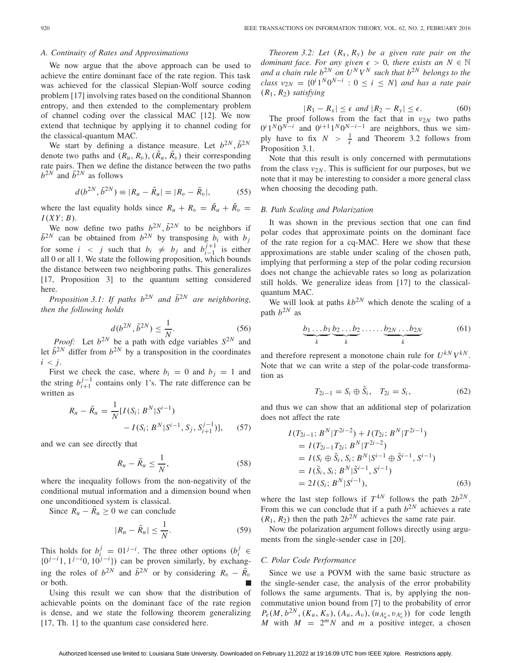#### *A. Continuity of Rates and Approximations*

We now argue that the above approach can be used to achieve the entire dominant face of the rate region. This task was achieved for the classical Slepian-Wolf source coding problem [17] involving rates based on the conditional Shannon entropy, and then extended to the complementary problem of channel coding over the classical MAC [12]. We now extend that technique by applying it to channel coding for the classical-quantum MAC.

We start by defining a distance measure. Let  $b^{2N}$ ,  $\tilde{b}^{2N}$ denote two paths and  $(R_u, R_v)$ ,  $(\tilde{R}_u, \tilde{R}_v)$  their corresponding rate pairs. Then we define the distance between the two paths  $b^{2N}$  and  $\tilde{b}^{2N}$  as follows

$$
d(b^{2N}, \tilde{b}^{2N}) \equiv |R_u - \tilde{R}_u| = |R_v - \tilde{R}_v|, \tag{55}
$$

where the last equality holds since  $R_u + R_v = \tilde{R}_u + \tilde{R}_v$  $I(XY; B)$ .

We now define two paths  $b^{2N}$ ,  $\tilde{b}^{2N}$  to be neighbors if  $\tilde{b}^{2N}$  can be obtained from  $b^{2N}$  by transposing  $b_i$  with  $b_j$ for some *i* < *j* such that  $b_i \neq b_j$  and  $b_{i-1}^{j+1}$  is either all 0 or all 1. We state the following proposition, which bounds the distance between two neighboring paths. This generalizes [17, Proposition 3] to the quantum setting considered here.

*Proposition 3.1: If paths*  $b^{2N}$  *and*  $\tilde{b}^{2N}$  *are neighboring, then the following holds*

$$
d(b^{2N}, \tilde{b}^{2N}) \le \frac{1}{N}.
$$
 (56)

*Proof:* Let  $b^{2N}$  be a path with edge variables  $S^{2N}$  and let  $\tilde{b}^{2N}$  differ from  $b^{2N}$  by a transposition in the coordinates  $i < j$ .

First we check the case, where  $b_i = 0$  and  $b_j = 1$  and the string  $b_{i+1}^{j-1}$  contains only 1's. The rate difference can be written as

$$
R_u - \tilde{R}_u = \frac{1}{N} [I(S_i; B^N | S^{i-1}) - I(S_i; B^N | S^{i-1}, S_j, S_{i+1}^{j-1})], \quad (57)
$$

and we can see directly that

$$
R_u - \tilde{R}_u \le \frac{1}{N},\tag{58}
$$

where the inequality follows from the non-negativity of the conditional mutual information and a dimension bound when one unconditioned system is classical.

Since  $R_u - \tilde{R}_u \geq 0$  we can conclude

$$
|R_u - \tilde{R}_u| \le \frac{1}{N}.\tag{59}
$$

This holds for  $b_i^j = 01^{j-i}$ . The three other options  $(b_i^j \in$  $\{0^{j-i}1, 1^{j-i}0, 10^{j-i}\}\)$  can be proven similarly, by exchanging the roles of  $b^{2N}$  and  $\tilde{b}^{2N}$  or by considering  $R_v - \tilde{R}_v$ or both.

Using this result we can show that the distribution of achievable points on the dominant face of the rate region is dense, and we state the following theorem generalizing [17, Th. 1] to the quantum case considered here.

*Theorem 3.2: Let*  $(R_x, R_y)$  *be a given rate pair on the dominant face. For any given*  $\epsilon > 0$ *, there exists an*  $N \in \mathbb{N}$ *and a chain rule*  $b^{2N}$  *on*  $U^N V^N$  *such that*  $b^{2N}$  *belongs to the class*  $v_{2N} = \{0^i 1^N 0^{N-i} : 0 \le i \le N\}$  *and has a rate pair* (*R*1, *R*2) *satisfying*

$$
|R_1 - R_x| \le \epsilon \text{ and } |R_2 - R_y| \le \epsilon. \tag{60}
$$

The proof follows from the fact that in  $v_{2N}$  two paths  $0^{i}1^{N}0^{N-i}$  and  $0^{i+1}1^{N}0^{N-i-1}$  are neighbors, thus we simply have to fix  $N > \frac{1}{\epsilon}$  and Theorem 3.2 follows from Proposition 3.1.

Note that this result is only concerned with permutations from the class  $v_{2N}$ . This is sufficient for our purposes, but we note that it may be interesting to consider a more general class when choosing the decoding path.

#### *B. Path Scaling and Polarization*

It was shown in the previous section that one can find polar codes that approximate points on the dominant face of the rate region for a cq-MAC. Here we show that these approximations are stable under scaling of the chosen path, implying that performing a step of the polar coding recursion does not change the achievable rates so long as polarization still holds. We generalize ideas from [17] to the classicalquantum MAC.

We will look at paths  $kb^{2N}$  which denote the scaling of a path  $b^{2N}$  as

$$
\underbrace{b_1 \dots b_1}_{k} \underbrace{b_2 \dots b_2}_{k} \dots \dots \underbrace{b_{2N} \dots b_{2N}}_{k}
$$
 (61)

and therefore represent a monotone chain rule for  $U^{kN}V^{kN}$ . Note that we can write a step of the polar-code transformation as

$$
T_{2i-1} = S_i \oplus \tilde{S}_i, \quad T_{2i} = S_i, \tag{62}
$$

and thus we can show that an additional step of polarization does not affect the rate

$$
I(T_{2i-1}; B^N | T^{2i-2}) + I(T_{2i}; B^N | T^{2i-1})
$$
  
=  $I(T_{2i-1}T_{2i}; B^N | T^{2i-2})$   
=  $I(S_i \oplus \tilde{S}_i, S_i; B^N | S^{i-1} \oplus \tilde{S}^{i-1}, S^{i-1})$   
=  $I(\tilde{S}_i, S_i; B^N | \tilde{S}^{i-1}, S^{i-1})$   
=  $2I(S_i; B^N | S^{i-1}),$  (63)

where the last step follows if  $T^{4N}$  follows the path  $2b^{2N}$ . From this we can conclude that if a path  $b^{2N}$  achieves a rate  $(R_1, R_2)$  then the path  $2b^{2N}$  achieves the same rate pair.

Now the polarization argument follows directly using arguments from the single-sender case in [20].

#### *C. Polar Code Performance*

Since we use a POVM with the same basic structure as the single-sender case, the analysis of the error probability follows the same arguments. That is, by applying the noncommutative union bound from [7] to the probability of error  $P_e(M, b^{2N}, (K_u, K_v), (A_u, A_v), (u_{A_u^c}, v_{A_v^c}))$  for code length *M* with  $M = 2^m N$  and *m* a positive integer, a chosen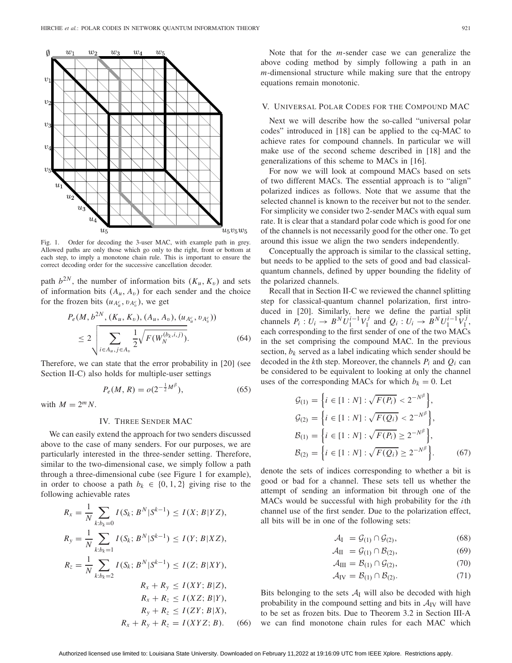

Fig. 1. Order for decoding the 3-user MAC, with example path in grey. Allowed paths are only those which go only to the right, front or bottom at each step, to imply a monotone chain rule. This is important to ensure the correct decoding order for the successive cancellation decoder.

path  $b^{2N}$ , the number of information bits  $(K_u, K_v)$  and sets of information bits  $(A_u, A_v)$  for each sender and the choice for the frozen bits  $(u_{A_u^c}, v_{A_v^c})$ , we get

$$
P_e(M, b^{2N}, (K_u, K_v), (A_u, A_v), (u_{A_u^c}, v_{A_v^c}))
$$
  
 
$$
\leq 2 \sqrt{\sum_{i \in A_u, j \in A_v} \frac{1}{2} \sqrt{F(W_N^{(b_k, i, j)})}}.
$$
 (64)

Therefore, we can state that the error probability in [20] (see Section II-C) also holds for multiple-user settings

$$
P_e(M, R) = o(2^{-\frac{1}{2}M^{\beta}}), \tag{65}
$$

with  $M = 2^m N$ .

#### IV. THREE SENDER MAC

We can easily extend the approach for two senders discussed above to the case of many senders. For our purposes, we are particularly interested in the three-sender setting. Therefore, similar to the two-dimensional case, we simply follow a path through a three-dimensional cube (see Figure 1 for example), in order to choose a path  $b_k \in \{0, 1, 2\}$  giving rise to the following achievable rates

$$
R_{x} = \frac{1}{N} \sum_{k:b_k=0} I(S_k; B^{N} | S^{k-1}) \le I(X; B | YZ),
$$
  
\n
$$
R_{y} = \frac{1}{N} \sum_{k:b_k=1} I(S_k; B^{N} | S^{k-1}) \le I(Y; B | XZ),
$$
  
\n
$$
R_{z} = \frac{1}{N} \sum_{k:b_k=2} I(S_k; B^{N} | S^{k-1}) \le I(Z; B | XY),
$$
  
\n
$$
R_{x} + R_{y} \le I(XY; B | Z),
$$
  
\n
$$
R_{x} + R_{z} \le I(XZ; B | Y),
$$
  
\n
$$
R_{y} + R_{z} \le I(ZY; B | X),
$$
  
\n
$$
R_{x} + R_{y} + R_{z} = I(XYZ; B).
$$
 (66)

Note that for the *m*-sender case we can generalize the above coding method by simply following a path in an *m*-dimensional structure while making sure that the entropy equations remain monotonic.

#### V. UNIVERSAL POLAR CODES FOR THE COMPOUND MAC

Next we will describe how the so-called "universal polar codes" introduced in [18] can be applied to the cq-MAC to achieve rates for compound channels. In particular we will make use of the second scheme described in [18] and the generalizations of this scheme to MACs in [16].

For now we will look at compound MACs based on sets of two different MACs. The essential approach is to "align" polarized indices as follows. Note that we assume that the selected channel is known to the receiver but not to the sender. For simplicity we consider two 2-sender MACs with equal sum rate. It is clear that a standard polar code which is good for one of the channels is not necessarily good for the other one. To get around this issue we align the two senders independently.

Conceptually the approach is similar to the classical setting, but needs to be applied to the sets of good and bad classicalquantum channels, defined by upper bounding the fidelity of the polarized channels.

Recall that in Section II-C we reviewed the channel splitting step for classical-quantum channel polarization, first introduced in [20]. Similarly, here we define the partial split channels  $P_i: U_i \to B^N U_1^{i-1} V_1^j$  and  $Q_i: U_i \to B^N U_1^{i-1} V_1^j$ , each corresponding to the first sender of one of the two MACs in the set comprising the compound MAC. In the previous section,  $b_k$  served as a label indicating which sender should be decoded in the *k*th step. Moreover, the channels *Pi* and *Qi* can be considered to be equivalent to looking at only the channel uses of the corresponding MACs for which  $b_k = 0$ . Let

$$
\mathcal{G}_{(1)} = \left\{ i \in [1:N] : \sqrt{F(P_i)} < 2^{-N^{\beta}} \right\},
$$
\n
$$
\mathcal{G}_{(2)} = \left\{ i \in [1:N] : \sqrt{F(Q_i)} < 2^{-N^{\beta}} \right\},
$$
\n
$$
\mathcal{B}_{(1)} = \left\{ i \in [1:N] : \sqrt{F(P_i)} \ge 2^{-N^{\beta}} \right\},
$$
\n
$$
\mathcal{B}_{(2)} = \left\{ i \in [1:N] : \sqrt{F(Q_i)} \ge 2^{-N^{\beta}} \right\}. \tag{67}
$$

denote the sets of indices corresponding to whether a bit is good or bad for a channel. These sets tell us whether the attempt of sending an information bit through one of the MACs would be successful with high probability for the *i*th channel use of the first sender. Due to the polarization effect, all bits will be in one of the following sets:

$$
\mathcal{A}_{I} = \mathcal{G}_{(1)} \cap \mathcal{G}_{(2)},\tag{68}
$$

$$
\mathcal{A}_{II} = \mathcal{G}_{(1)} \cap \mathcal{B}_{(2)},\tag{69}
$$
\n
$$
\mathcal{A}_{II} = \mathcal{B}_{(1)} \cap \mathcal{B}_{(2)},\tag{70}
$$

$$
\mathcal{A}_{III} = \mathcal{B}_{(1)} \cap \mathcal{G}_{(2)},\tag{70}
$$

$$
\mathcal{A}_{\text{IV}} = \mathcal{B}_{(1)} \cap \mathcal{B}_{(2)}.
$$
 (71)

Bits belonging to the sets  $A_I$  will also be decoded with high probability in the compound setting and bits in  $A_{IV}$  will have to be set as frozen bits. Due to Theorem 3.2 in Section III-A we can find monotone chain rules for each MAC which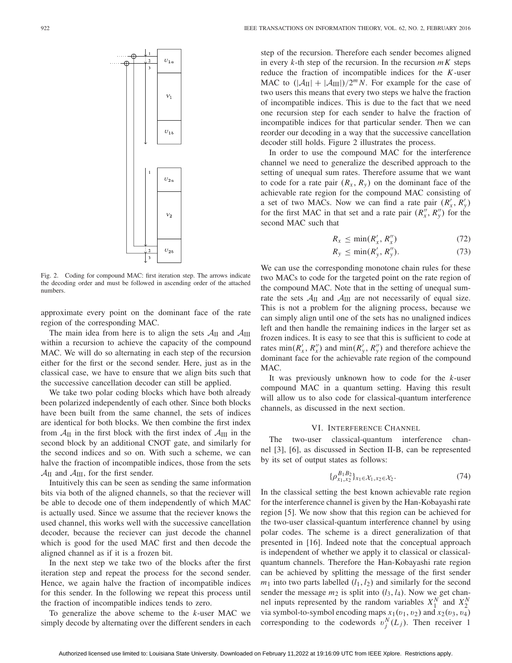

Fig. 2. Coding for compound MAC: first iteration step. The arrows indicate the decoding order and must be followed in ascending order of the attached numbers.

approximate every point on the dominant face of the rate region of the corresponding MAC.

The main idea from here is to align the sets  $A_{II}$  and  $A_{III}$ within a recursion to achieve the capacity of the compound MAC. We will do so alternating in each step of the recursion either for the first or the second sender. Here, just as in the classical case, we have to ensure that we align bits such that the successive cancellation decoder can still be applied.

We take two polar coding blocks which have both already been polarized independently of each other. Since both blocks have been built from the same channel, the sets of indices are identical for both blocks. We then combine the first index from  $A_{II}$  in the first block with the first index of  $A_{III}$  in the second block by an additional CNOT gate, and similarly for the second indices and so on. With such a scheme, we can halve the fraction of incompatible indices, those from the sets  $\mathcal{A}_{\text{II}}$  and  $\mathcal{A}_{\text{III}}$ , for the first sender.

Intuitively this can be seen as sending the same information bits via both of the aligned channels, so that the reciever will be able to decode one of them independently of which MAC is actually used. Since we assume that the reciever knows the used channel, this works well with the successive cancellation decoder, because the reciever can just decode the channel which is good for the used MAC first and then decode the aligned channel as if it is a frozen bit.

In the next step we take two of the blocks after the first iteration step and repeat the process for the second sender. Hence, we again halve the fraction of incompatible indices for this sender. In the following we repeat this process until the fraction of incompatible indices tends to zero.

To generalize the above scheme to the *k*-user MAC we simply decode by alternating over the different senders in each

step of the recursion. Therefore each sender becomes aligned in every  $k$ -th step of the recursion. In the recursion  $mK$  steps reduce the fraction of incompatible indices for the *K*-user MAC to  $(|A_{II}| + |A_{III}|)/2^m N$ . For example for the case of two users this means that every two steps we halve the fraction of incompatible indices. This is due to the fact that we need one recursion step for each sender to halve the fraction of incompatible indices for that particular sender. Then we can reorder our decoding in a way that the successive cancellation decoder still holds. Figure 2 illustrates the process.

In order to use the compound MAC for the interference channel we need to generalize the described approach to the setting of unequal sum rates. Therefore assume that we want to code for a rate pair  $(R_x, R_y)$  on the dominant face of the achievable rate region for the compound MAC consisting of a set of two MACs. Now we can find a rate pair  $(R'_x, R'_y)$ for the first MAC in that set and a rate pair  $(R_x^{\gamma}, R_y^{\gamma})$  for the second MAC such that

$$
R_x \le \min(R'_x, R''_x) \tag{72}
$$

$$
R_{y} \le \min(R'_{y}, R''_{y}).\tag{73}
$$

We can use the corresponding monotone chain rules for these two MACs to code for the targeted point on the rate region of the compound MAC. Note that in the setting of unequal sumrate the sets  $A_{II}$  and  $A_{III}$  are not necessarily of equal size. This is not a problem for the aligning process, because we can simply align until one of the sets has no unaligned indices left and then handle the remaining indices in the larger set as frozen indices. It is easy to see that this is sufficient to code at rates  $min(R'_x, R''_x)$  and  $min(R'_y, R''_y)$  and therefore achieve the dominant face for the achievable rate region of the compound MAC.

It was previously unknown how to code for the *k*-user compound MAC in a quantum setting. Having this result will allow us to also code for classical-quantum interference channels, as discussed in the next section.

#### VI. INTERFERENCE CHANNEL

The two-user classical-quantum interference channel [3], [6], as discussed in Section II-B, can be represented by its set of output states as follows:

$$
\{\rho_{x_1, x_2}^{B_1 B_2}\}_{x_1 \in \mathcal{X}_1, x_2 \in \mathcal{X}_2}.\tag{74}
$$

In the classical setting the best known achievable rate region for the interference channel is given by the Han-Kobayashi rate region [5]. We now show that this region can be achieved for the two-user classical-quantum interference channel by using polar codes. The scheme is a direct generalization of that presented in [16]. Indeed note that the conceptual approach is independent of whether we apply it to classical or classicalquantum channels. Therefore the Han-Kobayashi rate region can be achieved by splitting the message of the first sender  $m_1$  into two parts labelled  $(l_1, l_2)$  and similarly for the second sender the message  $m_2$  is split into  $(l_3, l_4)$ . Now we get channel inputs represented by the random variables  $X_1^N$  and  $X_2^N$ via symbol-to-symbol encoding maps  $x_1(v_1, v_2)$  and  $x_2(v_3, v_4)$ corresponding to the codewords  $v_j^N(L_j)$ . Then receiver 1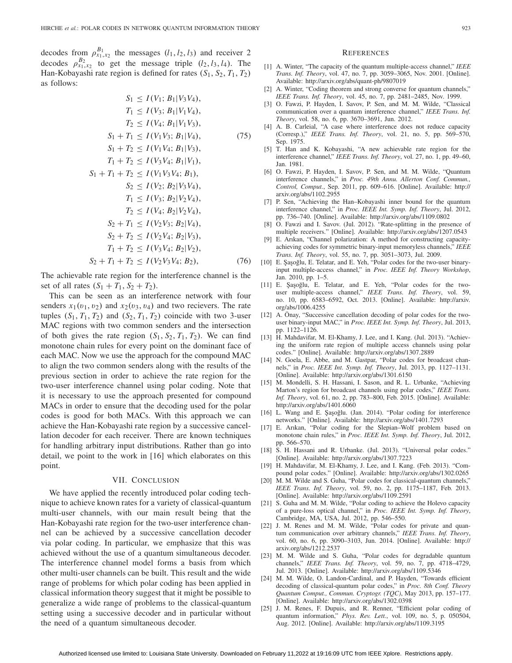decodes from  $\rho_{x_1, x_2}^{B_1}$  the messages  $(l_1, l_2, l_3)$  and receiver 2 decodes  $\rho_{x_1, x_2}^{B_2}$  to get the message triple  $(l_2, l_3, l_4)$ . The Han-Kobayashi rate region is defined for rates  $(S_1, S_2, T_1, T_2)$ as follows:

$$
S_1 \le I(V_1; B_1 | V_3 V_4),
$$
  
\n
$$
T_1 \le I(V_3; B_1 | V_1 V_4),
$$
  
\n
$$
T_2 \le I(V_4; B_1 | V_1 V_3),
$$
  
\n
$$
S_1 + T_1 \le I(V_1 V_3; B_1 | V_4),
$$
  
\n
$$
S_1 + T_2 \le I(V_1 V_4; B_1 | V_3),
$$
  
\n
$$
T_1 + T_2 \le I(V_3 V_4; B_1 | V_1),
$$
  
\n
$$
S_1 + T_1 + T_2 \le I(V_1 V_3 V_4; B_1),
$$
  
\n
$$
S_2 \le I(V_2; B_2 | V_3 V_4),
$$
  
\n
$$
T_1 \le I(V_3; B_2 | V_2 V_4),
$$
  
\n
$$
T_2 \le I(V_4; B_2 | V_2 V_4),
$$
  
\n
$$
S_2 + T_1 \le I(V_2 V_3; B_2 | V_4),
$$
  
\n
$$
S_2 + T_2 \le I(V_2 V_4; B_2 | V_3),
$$
  
\n
$$
T_1 + T_2 \le I(V_2 V_4; B_2 | V_2),
$$
  
\n
$$
S_2 + T_1 + T_2 \le I(V_2 V_3 V_4; B_2),
$$
  
\n(76)

The achievable rate region for the interference channel is the set of all rates  $(S_1 + T_1, S_2 + T_2)$ .

This can be seen as an interference network with four senders  $x_1(v_1, v_2)$  and  $x_2(v_3, v_4)$  and two recievers. The rate tuples  $(S_1, T_1, T_2)$  and  $(S_2, T_1, T_2)$  coincide with two 3-user MAC regions with two common senders and the intersection of both gives the rate region  $(S_1, S_2, T_1, T_2)$ . We can find monotone chain rules for every point on the dominant face of each MAC. Now we use the approach for the compound MAC to align the two common senders along with the results of the previous section in order to achieve the rate region for the two-user interference channel using polar coding. Note that it is necessary to use the approach presented for compound MACs in order to ensure that the decoding used for the polar codes is good for both MACs. With this approach we can achieve the Han-Kobayashi rate region by a successive cancellation decoder for each receiver. There are known techniques for handling arbitrary input distributions. Rather than go into detail, we point to the work in [16] which elaborates on this point.

#### VII. CONCLUSION

We have applied the recently introduced polar coding technique to achieve known rates for a variety of classical-quantum multi-user channels, with our main result being that the Han-Kobayashi rate region for the two-user interference channel can be achieved by a successive cancellation decoder via polar coding. In particular, we emphasize that this was achieved without the use of a quantum simultaneous decoder. The interference channel model forms a basis from which other multi-user channels can be built. This result and the wide range of problems for which polar coding has been applied in classical information theory suggest that it might be possible to generalize a wide range of problems to the classical-quantum setting using a successive decoder and in particular without the need of a quantum simultaneous decoder.

#### **REFERENCES**

- [1] A. Winter, "The capacity of the quantum multiple-access channel," *IEEE Trans. Inf. Theory*, vol. 47, no. 7, pp. 3059–3065, Nov. 2001. [Online]. Available: http://arxiv.org/abs/quant-ph/9807019
- [2] A. Winter, "Coding theorem and strong converse for quantum channels," *IEEE Trans. Inf. Theory*, vol. 45, no. 7, pp. 2481–2485, Nov. 1999.
- [3] O. Fawzi, P. Hayden, I. Savov, P. Sen, and M. M. Wilde, "Classical communication over a quantum interference channel," *IEEE Trans. Inf. Theory*, vol. 58, no. 6, pp. 3670–3691, Jun. 2012.
- [4] A. B. Carleial, "A case where interference does not reduce capacity (Corresp.)," *IEEE Trans. Inf. Theory*, vol. 21, no. 5, pp. 569–570, Sep. 1975.
- [5] T. Han and K. Kobayashi, "A new achievable rate region for the interference channel," *IEEE Trans. Inf. Theory*, vol. 27, no. 1, pp. 49–60, Jan. 1981.
- [6] O. Fawzi, P. Hayden, I. Savov, P. Sen, and M. M. Wilde, "Quantum interference channels," in *Proc. 49th Annu. Allerton Conf. Commun., Control, Comput.*, Sep. 2011, pp. 609–616. [Online]. Available: http:// arxiv.org/abs/1102.2955
- [7] P. Sen, "Achieving the Han–Kobayashi inner bound for the quantum interference channel," in *Proc. IEEE Int. Symp. Inf. Theory*, Jul. 2012, pp. 736–740. [Online]. Available: http://arxiv.org/abs/1109.0802
- [8] O. Fawzi and I. Savov. (Jul. 2012). "Rate-splitting in the presence of multiple receivers." [Online]. Available: http://arxiv.org/abs/1207.0543
- [9] E. Arıkan, "Channel polarization: A method for constructing capacityachieving codes for symmetric binary-input memoryless channels," *IEEE Trans. Inf. Theory*, vol. 55, no. 7, pp. 3051–3073, Jul. 2009.
- [10] E. Şaşoğlu, E. Telatar, and E. Yeh, "Polar codes for the two-user binaryinput multiple-access channel," in *Proc. IEEE Inf. Theory Workshop*, Jan. 2010, pp. 1–5.
- [11] E. Şaşoğlu, E. Telatar, and E. Yeh, "Polar codes for the twouser multiple-access channel," *IEEE Trans. Inf. Theory*, vol. 59, no. 10, pp. 6583–6592, Oct. 2013. [Online]. Available: http://arxiv. org/abs/1006.4255
- [12] A. Önay, "Successive cancellation decoding of polar codes for the twouser binary-input MAC," in *Proc. IEEE Int. Symp. Inf. Theory*, Jul. 2013, pp. 1122–1126.
- [13] H. Mahdavifar, M. El-Khamy, J. Lee, and I. Kang. (Jul. 2013). "Achieving the uniform rate region of multiple access channels using polar codes." [Online]. Available: http://arxiv.org/abs/1307.2889
- [14] N. Goela, E. Abbe, and M. Gastpar, "Polar codes for broadcast channels," in *Proc. IEEE Int. Symp. Inf. Theory*, Jul. 2013, pp. 1127–1131. [Online]. Available: http://arxiv.org/abs/1301.6150
- [15] M. Mondelli, S. H. Hassani, I. Sason, and R. L. Urbanke, "Achieving Marton's region for broadcast channels using polar codes," *IEEE Trans. Inf. Theory*, vol. 61, no. 2, pp. 783–800, Feb. 2015. [Online]. Available: http://arxiv.org/abs/1401.6060
- [16] L. Wang and E. Şaşoğlu. (Jan. 2014). "Polar coding for interference networks." [Online]. Available: http://arxiv.org/abs/1401.7293
- [17] E. Arıkan, "Polar coding for the Slepian–Wolf problem based on monotone chain rules," in *Proc. IEEE Int. Symp. Inf. Theory*, Jul. 2012, pp. 566–570.
- [18] S. H. Hassani and R. Urbanke. (Jul. 2013). "Universal polar codes." [Online]. Available: http://arxiv.org/abs/1307.7223
- [19] H. Mahdavifar, M. El-Khamy, J. Lee, and I. Kang. (Feb. 2013). "Compound polar codes." [Online]. Available: http://arxiv.org/abs/1302.0265
- [20] M. M. Wilde and S. Guha, "Polar codes for classical-quantum channels," *IEEE Trans. Inf. Theory*, vol. 59, no. 2, pp. 1175–1187, Feb. 2013. [Online]. Available: http://arxiv.org/abs/1109.2591
- [21] S. Guha and M. M. Wilde, "Polar coding to achieve the Holevo capacity of a pure-loss optical channel," in *Proc. IEEE Int. Symp. Inf. Theory*, Cambridge, MA, USA, Jul. 2012, pp. 546–550.
- [22] J. M. Renes and M. M. Wilde, "Polar codes for private and quantum communication over arbitrary channels," *IEEE Trans. Inf. Theory*, vol. 60, no. 6, pp. 3090–3103, Jun. 2014. [Online]. Available: http:// arxiv.org/abs/1212.2537
- [23] M. M. Wilde and S. Guha, "Polar codes for degradable quantum channels," *IEEE Trans. Inf. Theory*, vol. 59, no. 7, pp. 4718–4729, Jul. 2013. [Online]. Available: http://arxiv.org/abs/1109.5346
- [24] M. M. Wilde, O. Landon-Cardinal, and P. Hayden, "Towards efficient decoding of classical-quantum polar codes," in *Proc. 8th Conf. Theory Quantum Comput., Commun. Cryptogr. (TQC)*, May 2013, pp. 157–177. [Online]. Available: http://arxiv.org/abs/1302.0398
- [25] J. M. Renes, F. Dupuis, and R. Renner, "Efficient polar coding of quantum information," *Phys. Rev. Lett.*, vol. 109, no. 5, p. 050504, Aug. 2012. [Online]. Available: http://arxiv.org/abs/1109.3195